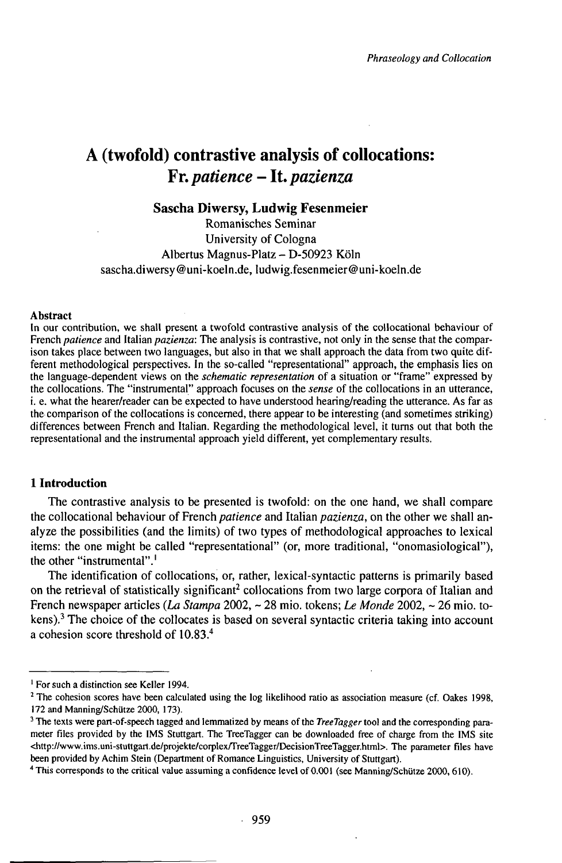# **A (twofold) contrastive analysis of collocations:** *Fr.patience -ltpazienza*

# **Sascha Diwersy, Ludwig Fesenmeier**

Romanisches Seminar University of Cologna Albertus Magnus-Platz - D-50923 Köln sascha.diwersy@uni-koeln.de, ludwig.fesenmeier@uni-koeln.de

#### Abstract

In our contribution, we shall present a twofold contrastive analysis of the collocational behaviour of French *patience* and Italian *pazienza:* The analysis is contrastive, not only in the sense that the comparison takes place between two languages, but also in that we shall approach the data from two quite different methodological perspectives. In the so-called "representational" approach, the emphasis lies on the language-dependent views on the *schematic representation* of a situation or "frame" expressed by the collocations. The "instrumental" approach focuses on the *sense* of the collocations in an utterance, i. e. what the hearer/reader can be expected to have understood hearing/reading the utterance. As far as thecomparison ofthe collocations is concerned, there appear to be interesting (and sometimes striking) differences between French and Italian. Regarding the methodological level, it turns out that both the representational and the instrumental approach yield different, yet complementary results.

# **1 Introduction**

The contrastive analysis to be presented is twofold: on the one hand, we shall compare the collocational behaviour of French *patience* and Italian *pazienza,* on the other we shall analyze the possibilities (and the limits) of two types of methodological approaches to lexical items: the one might be called "representational" (or, more traditional, "onomasiological"), the other "instrumental".<sup>1</sup>

The identification of collocations, or, rather, lexical-syntactic patterns is primarily based on the retrieval of statistically significant<sup>2</sup> collocations from two large corpora of Italian and French newspaper articles *(La Stampa* 2002, ~ 28 mio. tokens; *Le Monde* 2002, ~ 26 mio. tokens).<sup>3</sup> The choice of the collocates is based on several syntactic criteria taking into account a cohesion score threshold of 10.83.<sup>4</sup>

<sup>&</sup>lt;sup>1</sup> For such a distinction see Keller 1994.

<sup>&</sup>lt;sup>2</sup> The cohesion scores have been calculated using the log likelihood ratio as association measure (cf. Oakes 1998, 172 and Manning/Schütze 2000, 173).

<sup>&</sup>lt;sup>3</sup> The texts were part-of-speech tagged and lemmatized by means of the *TreeTagger* tool and the corresponding parameter files provided by the IMS Stuttgart. The TreeTagger can be downloaded free of charge from the IMS site <http://www.ims.uni-stuttgart.de/projekte/corplex/TreeTagger/DecisionTreeTagger.html>. The parameter files have been provided by Achim Stein (Department of Romance Linguistics, University of Stuttgart).

<sup>&</sup>lt;sup>4</sup> This corresponds to the critical value assuming a confidence level of 0.001 (see Manning/Schütze 2000, 610).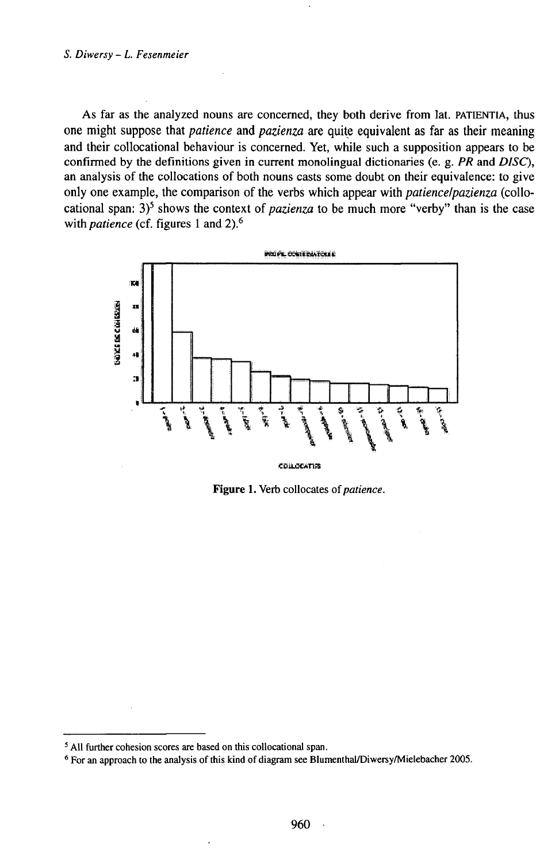As far as the analyzed nouns are concerned, they both derive from lat. PATIENTIA, thus one might suppose that *patience* and *pazienza* are quite equivalent as far as their meaning and their collocational behaviour is concerned. Yet, while such a supposition appears to be confirmed by the definitions given in current monolingual dictionaries (e. g. PR and DISC), an analysis of the collocations of both nouns casts some doubt on their equivalence: to give only one example, the comparison of the verbs which appear with *patiencelpazienza* (collocational span:  $3^5$  shows the context of *pazienza* to be much more "verby" than is the case with *patience* (cf. figures 1 and 2).<sup>6</sup>



Figure 1. Verb collocates of patience.

<sup>&</sup>lt;sup>5</sup> All further cohesion scores are based on this collocational span.

<sup>&</sup>lt;sup>6</sup> For an approach to the analysis of this kind of diagram see Blumenthal/Diwersy/Mielebacher 2005.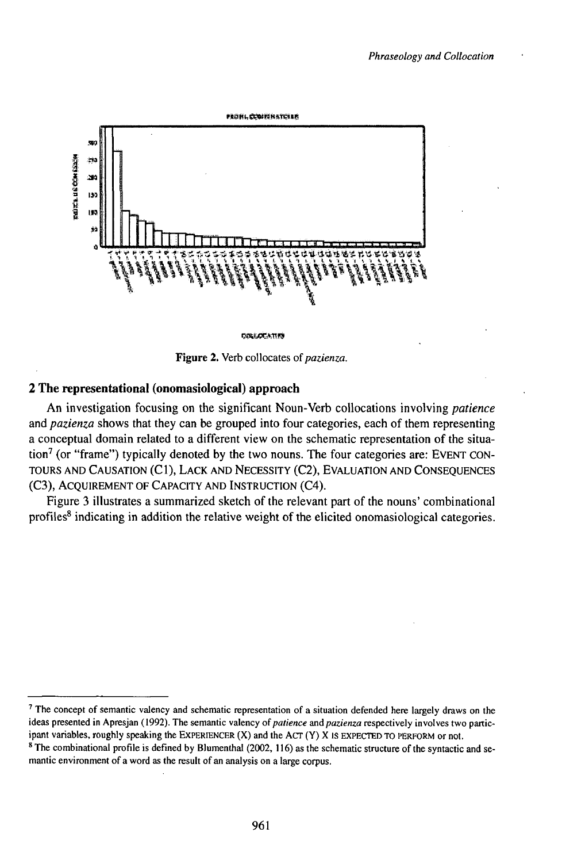

**COLLOCATIES** 

Figure 2. Verb collocates of pazienza.

### 2 The representational (onomasiological) approach

An investigation focusing on the significant Noun-Verb collocations involving *patience* and pazienza shows that they can be grouped into four categories, each of them representing a conceptual domain related to a different view on the schematic representation of the situation<sup>7</sup> (or "frame") typically denoted by the two nouns. The four categories are: EVENT CON-TOURS AND CAUSATION (C1), LACK AND NECESSITY (C2), EVALUATION AND CONSEQUENCES (C3), ACQUIREMENT OF CAPACITY AND INSTRUCTION (C4).

Figure 3 illustrates a summarized sketch of the relevant part of the nouns' combinational profiles<sup>8</sup> indicating in addition the relative weight of the elicited onomasiological categories.

<sup>&</sup>lt;sup>7</sup> The concept of semantic valency and schematic representation of a situation defended here largely draws on the ideas presented in Apresjan (1992). The semantic valency of patience and pazienza respectively involves two participant variables, roughly speaking the EXPERIENCER (X) and the ACT (Y) X IS EXPECTED TO PERFORM or not.

<sup>&</sup>lt;sup>8</sup> The combinational profile is defined by Blumenthal (2002, 116) as the schematic structure of the syntactic and semantic environment of a word as the result of an analysis on a large corpus.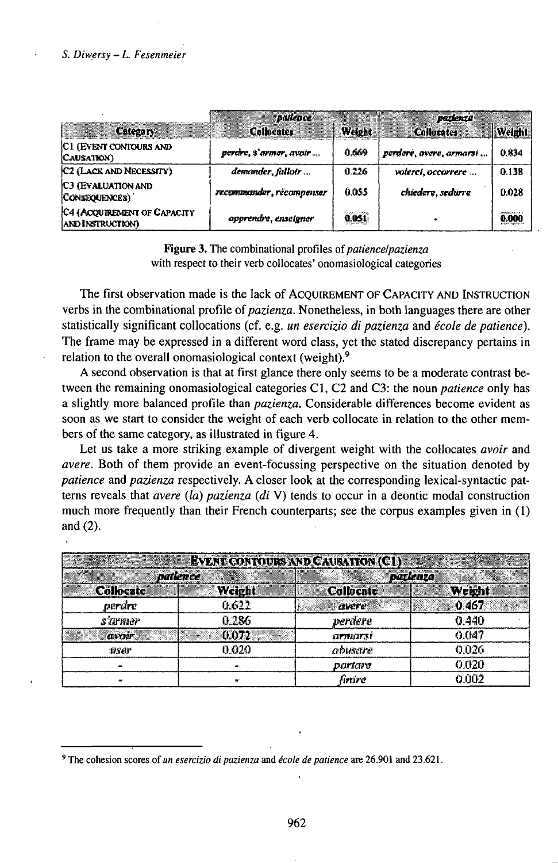# S. Diwersy - L. Fesenmeier

| <b>Category</b>                                 | <i>patience</i><br><b>Collocates</b> | Welght | parlenza<br><b>Collucates</b> | Weight                  |
|-------------------------------------------------|--------------------------------------|--------|-------------------------------|-------------------------|
| C1 (EVENT CONTOURS AND<br>CAUSATION)            | perdre, s'armer, avoir               | 0.669  | perdere, avere, armacii       | 0.834                   |
| C <sub>2</sub> (LACK AND NECESSITY)             | demander, falloir                    | 0.226  | volerci, occorrere            | 0.138                   |
| <b>C3 (EVALUATION AND</b><br>CONSEQUENCES)      | recommander, récompenser             | 0.055  | chiedere, sedurre             | 0.028                   |
| C4 (ACQUIREMENT OF CAPACITY<br>AND INSTRUCTION) | apprendre, enseigner                 | 0.051  |                               | JAKANSY 3 A.E.<br>0.000 |

**Figure 3.** The combinational profiles of *patiencel pazienza* with respect to their verb collocates' onomasiological categories

The first observation made is the lack of ACQUIREMENT OF CAPACITY AND INSTRUCTION verbs in the combinational profile of *pazienza*. Nonetheless, in both languages there are other statistically significant collocations (cf. e.g. un esercizio di pazienza and école de patience). The frame may be expressed in a different word class, yet the stated discrepancy pertains in relation to the overall onomasiological context (weight).<sup>9</sup>

A second observation is that at first glance there only seems to be a moderate contrast between the remaining onomasiological categories C1, C2 and C3: the noun *patience* only has a slightly more balanced profile than pazienza. Considerable differences become evident as soon as we start to consider the weight of each verb collocate in relation to the other members of the same category, as illustrated in figure 4.

Let us take a more striking example of divergent weight with the collocates avoir and *avere.* Both of them provide an event-focussing perspective on the situation denoted by patience and pazienza respectively. A closer look at the corresponding lexical-syntactic patterns reveals that *avere* (la) pazienza (di V) tends to occur in a deontic modal construction much more frequently than their French counterparts; see the corpus examples given in (1) and  $(2)$ .

| 3. Constantino del |        | <b>EVENT CONTOURS AND CAURATION (C1)</b> |          |
|--------------------|--------|------------------------------------------|----------|
| <b>Darience</b>    |        |                                          | porlenza |
| <b>Collocate</b>   | Weight | <b>Collocate</b>                         | Weight   |
| perdre             | 0.622  | avere                                    | 0.467    |
| s'armer            | 0.286  | verdere                                  | 0.440    |
| <b>OWNF</b>        | 0.072  | <b>ALTRUATS!</b>                         | 0.047    |
| 118er              | 0 O2O  | abusare                                  | 0.026    |
|                    |        | partaro                                  | 0.020    |
| 28                 |        | fimire                                   | 0.002    |

<sup>&</sup>lt;sup>9</sup> The cohesion scores of *un esercizio di pazienza* and *école de patience* are 26.901 and 23.621.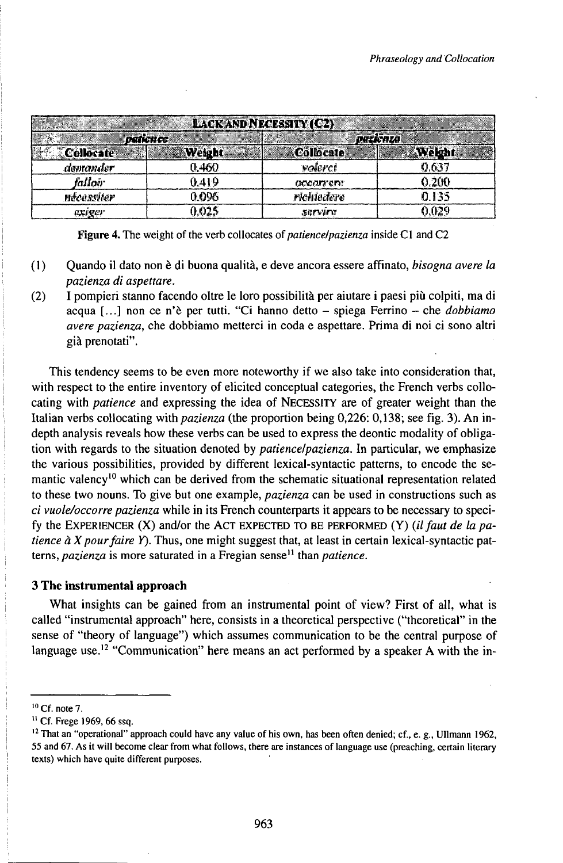| <b>LACK AND NECESSITY (C2)</b> |                  |                       |                 |  |  |  |
|--------------------------------|------------------|-----------------------|-----------------|--|--|--|
|                                | <b>DATIGN CC</b> |                       | <b>DIELKMLA</b> |  |  |  |
| Collocate                      | Weight           | <b>Collocate</b>      | <b>Wekht</b>    |  |  |  |
| devramder                      | 0.460            | walerci               | 0.637           |  |  |  |
| falloù                         | } 419            | accarrent             | 0.200           |  |  |  |
| nécessiter                     | 0.096            | richiedere            | 0.135           |  |  |  |
| <b>CLIPEF</b>                  | ነ በንፍ            | <i><b>SEPVIET</b></i> | יכון.           |  |  |  |

Figure 4. The weight of the verb collocates of *patiencelpazienza* inside C1 and C2

- $(1)$ Quando il dato non è di buona qualità, e deve ancora essere affinato, bisogna avere la pazienza di aspettare.
- $(2)$ I pompieri stanno facendo oltre le loro possibilità per aiutare i paesi più colpiti, ma di acqua [...] non ce n'è per tutti. "Ci hanno detto - spiega Ferrino - che dobbiamo avere pazienza, che dobbiamo metterci in coda e aspettare. Prima di noi ci sono altri già prenotati".

This tendency seems to be even more noteworthy if we also take into consideration that, with respect to the entire inventory of elicited conceptual categories, the French verbs collocating with patience and expressing the idea of NECESSITY are of greater weight than the Italian verbs collocating with pazienza (the proportion being 0,226: 0,138; see fig. 3). An indepth analysis reveals how these verbs can be used to express the deontic modality of obligation with regards to the situation denoted by *patience/pazienza*. In particular, we emphasize the various possibilities, provided by different lexical-syntactic patterns, to encode the semantic valency<sup>10</sup> which can be derived from the schematic situational representation related to these two nouns. To give but one example, *pazienza* can be used in constructions such as ci vuole/occorre pazienza while in its French counterparts it appears to be necessary to specify the EXPERIENCER (X) and/or the ACT EXPECTED TO BE PERFORMED (Y) (il faut de la patience  $\hat{a}$  X pour faire Y). Thus, one might suggest that, at least in certain lexical-syntactic patterns, pazienza is more saturated in a Fregian sense<sup>11</sup> than patience.

# 3 The instrumental approach

What insights can be gained from an instrumental point of view? First of all, what is called "instrumental approach" here, consists in a theoretical perspective ("theoretical" in the sense of "theory of language") which assumes communication to be the central purpose of language use.<sup>12</sup> "Communication" here means an act performed by a speaker A with the in-

 $10$  Cf. note 7.

<sup>&</sup>lt;sup>11</sup> Cf. Frege 1969, 66 ssq.

<sup>&</sup>lt;sup>12</sup> That an "operational" approach could have any value of his own, has been often denied; cf., e. g., Ullmann 1962, 55 and 67. As it will become clear from what follows, there are instances of language use (preaching, certain literary texts) which have quite different purposes.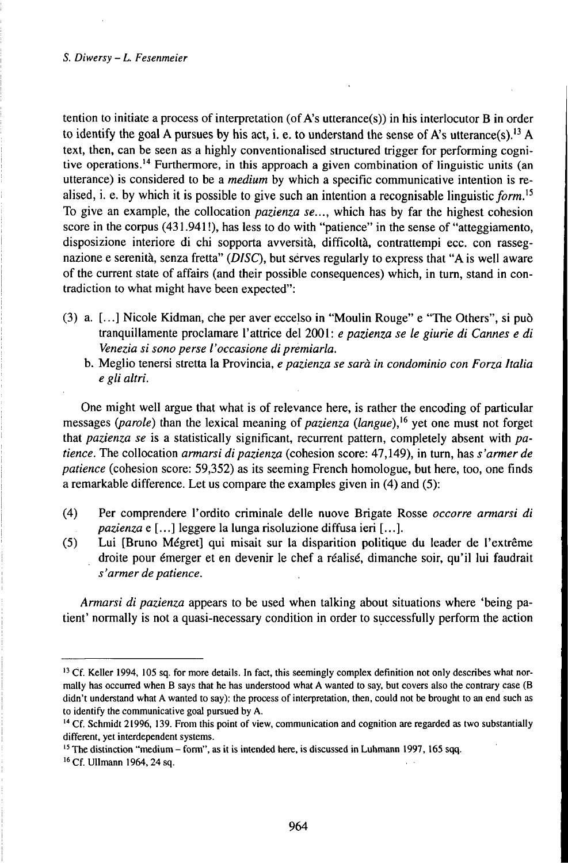### 5. *Diwersy - L. Fesenmeier*

tention to initiate a process of interpretation (of A's utterance(s)) in his interlocutor B in order to identify the goal A pursues by his act, i. e. to understand the sense of A's utterance(s).<sup>13</sup> A text, then, can be seen as a highly conventionalised structured trigger for performing cognitive operations.<sup>14</sup> Furthermore, in this approach a given combination of linguistic units (an utterance) is considered to be a *medium* by which a specific communicative intention is realised, i. e. by which it is possible to give such an intention a recognisable linguistic form.<sup>15</sup> To give an example, the collocation *pazienza se...,* which has by far the highest cohesion score in the corpus (431.941!), has less to do with "patience" in the sense of "atteggiamento, disposizione interiore di chi sopporta avversità, difficoltà, contrattempi ecc. con rassegnazione e serenità, senza fretta" *(DISC),* but sèrves regularly to express that "A is well aware of the current state of affairs (and their possible consequences) which, in turn, stand in contradiction to what might have been expected":

- (3) a. [...] Nicole Kidman, che per aver eccelso in "Moulin Rouge" e "The Others", si può tranquillamente proclamare l'attrice del 2001: *e pazienza se le giurie di Cannes e di Venezia si sonoperse l'occasione dipremiarla.*
	- b. Meglio tenersi stretta la Provincia, *e pazienza se sarà in condominio con Forza Italia e gli altri.*

One might well argue that what is of relevance here, is rather the encoding of particular messages *(parole)* than the lexical meaning of *pazienza (langue)*,<sup>16</sup> yet one must not forget that *pazienza se* is a statistically significant, recurrent pattern, completely absent with *patience.* The collocation *armarsi di pazienza* (cohesion score: 47,149), in turn, has *s'armer de patience* (cohesion score: 59,352) as its seeming French homologue, but here, too, one finds a remarkable difference. Let us compare the examples given in (4) and (5):

- (4) Per comprendere l'ordito criminale delle nuove Brigate Rosse *occorre armarsi di pazienza* e [...] leggere la lunga risoluzione diffusa ieri [...].
- (5) Lui [Bruno Mégret] qui misait sur la disparition politique du leader de l'extrême droite pour émerger et en devenir le chef a réalisé, dimanche soir, qu'il lui faudrait  $s'$ armer de patience.

*Armarsi di pazienza* appears to be used when talking about situations where 'being patient' normally is not a quasi-necessary condition in order to successfully perform the action

<sup>&</sup>lt;sup>13</sup> Cf. Keller 1994, 105 sq. for more details. In fact, this seemingly complex definition not only describes what normally has occurred when B says that he has understood what A wanted to say, but covers also the contrary case (B didn't understand what A wanted to say): the process of interpretation, then, could not be brought to an end such as to identify the communicative goal pursued by A.

<sup>&</sup>lt;sup>14</sup> Cf. Schmidt 21996, 139. From this point of view, communication and cognition are regarded as two substantially different, yet interdependent systems.

<sup>&</sup>lt;sup>15</sup> The distinction "medium – form", as it is intended here, is discussed in Luhmann 1997, 165 sqq.

<sup>&</sup>lt;sup>16</sup> Cf. Ullmann 1964, 24 sq.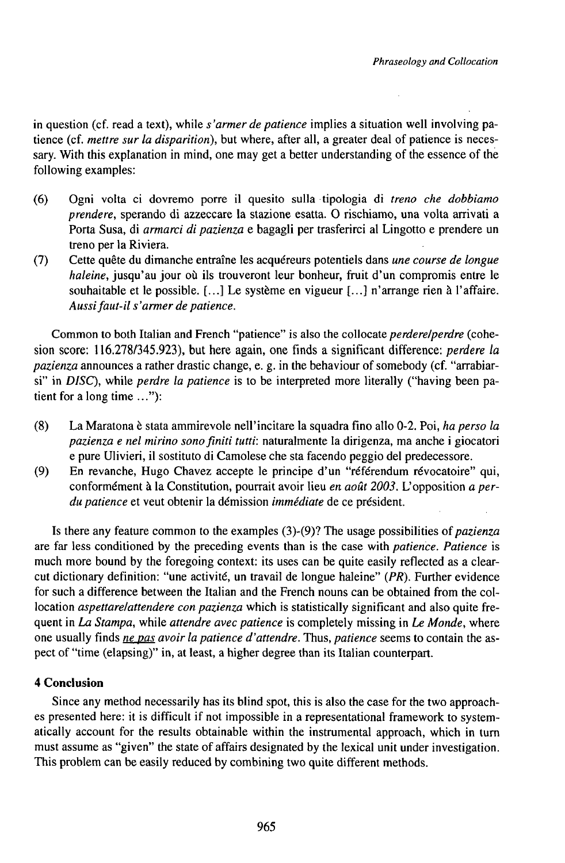in question (cf. read a text), while *s'armer de patience* implies a situation well involving patience (cf. *mettre sur la disparition),* but where, after all, a greater deal of patience is necessary. With this explanation in mind, one may get a better understanding of the essence of the following examples:

- (6) Ogni volta ci dovremo porre il quesito sulla tipologia di *treno che dobbiamo prendere,* sperando di azzeccare la stazione esatta. 0 rischiamo, una volta arrivati <sup>a</sup> Porta Susa, di *armarci di pazienza* e bagagli per trasferirci al Lingotto e prendere un treno per la Riviera.
- (7) Cette quête du dimanche entraîne les acquéreurs potentiels dans *une course de longue haleine,* jusqu'au jour où ils trouveront leur bonheur, fruit d'un compromis entre le souhaitable et le possible. [...] Le système en vigueur [...] n'arrange rien à l'affaire. *Aussifaut-il s'armer de patience.*

Common to both Italian and French "patience" is also the collocate *perderelperdre* (cohesion score: 116.278/345.923), but here again, one finds a significant difference: *perdere la pazienza* announces a rather drastic change, e. g. in the behaviour of somebody (cf. "arrabiarsi" in *DISC),* while *perdre la patience* is to be interpreted more literally ("having been patient for a long time ..."):

- (8) La Maratona è stata ammirevole nell'incitare la squadra fino allo 0-2. Poi, *ha perso la pazienza e nel mirino sonofiniti tutti:* naturalmente la dirigenza, ma anche <sup>i</sup> giocatori e pure Ulivieri, il sostituto di Camolese che sta facendo peggio del predecessore.
- (9) En revanche, Hugo Chavez accepte le principe d'un "referendum révocatoire" qui, conformément à la Constitution, pourrait avoir lieu *en août 2003.* L'opposition *a perdu patience* et veut obtenir la démission *immédiate* de ce président.

Is there any feature common to the examples (3)-(9)? The usage possibilities *oipazienza* are far less conditioned by the preceding events than is the case with *patience. Patience* is much more bound by the foregoing context: its uses can be quite easily reflected as a clearcut dictionary definition: "une activité, un travail de longue haleine" *(PR).* Further evidence for such a difference between the Italian and the French nouns can be obtained from the collocation *aspettare/attendere con pazienza* which is statistically significant and also quite frequent in *La Stampa,* while *attendre avec patience* is completely missing in *Le Monde,* where one usually finds *nepas avoir la patience d'attendre.* Thus, *patience* seems to contain the aspect of "time (elapsing)" in, at least, a higher degree than its Italian counterpart.

# **4 Conclusion**

Since any method necessarily has its blind spot, this is also the case for the two approaches presented here: it is difficult if not impossible in a representational framework to systematically account for the results obtainable within the instrumental approach, which in turn must assume as "given" the state of affairs designated by the lexical unit under investigation. This problem can be easily reduced by combining two quite different methods.